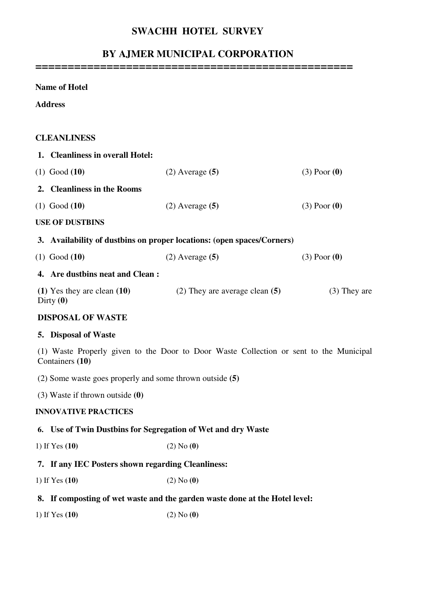## **SWACHH HOTEL SURVEY**

# **BY AJMER MUNICIPAL CORPORATION**

**=================================================** 

#### **Name of Hotel**

**Address** 

### **CLEANLINESS**

|                                                                                                           | 1. Cleanliness in overall Hotel:                                       |                                    |                  |
|-----------------------------------------------------------------------------------------------------------|------------------------------------------------------------------------|------------------------------------|------------------|
|                                                                                                           | $(1)$ Good $(10)$                                                      | $(2)$ Average $(5)$                | $(3)$ Poor $(0)$ |
|                                                                                                           | 2. Cleanliness in the Rooms                                            |                                    |                  |
|                                                                                                           | $(1)$ Good $(10)$                                                      | $(2)$ Average $(5)$                | $(3)$ Poor $(0)$ |
|                                                                                                           | <b>USE OF DUSTBINS</b>                                                 |                                    |                  |
|                                                                                                           | 3. Availability of dustbins on proper locations: (open spaces/Corners) |                                    |                  |
|                                                                                                           | $(1)$ Good $(10)$                                                      | $(2)$ Average $(5)$                | $(3)$ Poor $(0)$ |
|                                                                                                           | 4. Are dustbins neat and Clean:                                        |                                    |                  |
|                                                                                                           | $(1)$ Yes they are clean $(10)$<br>Dirty $(0)$                         | $(2)$ They are average clean $(5)$ | $(3)$ They are   |
| <b>DISPOSAL OF WASTE</b>                                                                                  |                                                                        |                                    |                  |
| 5. Disposal of Waste                                                                                      |                                                                        |                                    |                  |
| (1) Waste Properly given to the Door to Door Waste Collection or sent to the Municipal<br>Containers (10) |                                                                        |                                    |                  |
|                                                                                                           |                                                                        |                                    |                  |

(2) Some waste goes properly and some thrown outside **(5)** 

(3) Waste if thrown outside **(0)**

#### **INNOVATIVE PRACTICES**

#### **6. Use of Twin Dustbins for Segregation of Wet and dry Waste**

1) If Yes **(10)** (2) No **(0)** 

## **7. If any IEC Posters shown regarding Cleanliness:**

- 1) If Yes **(10)** (2) No **(0)**
- **8. If composting of wet waste and the garden waste done at the Hotel level:**
- 1) If Yes **(10)** (2) No **(0)**